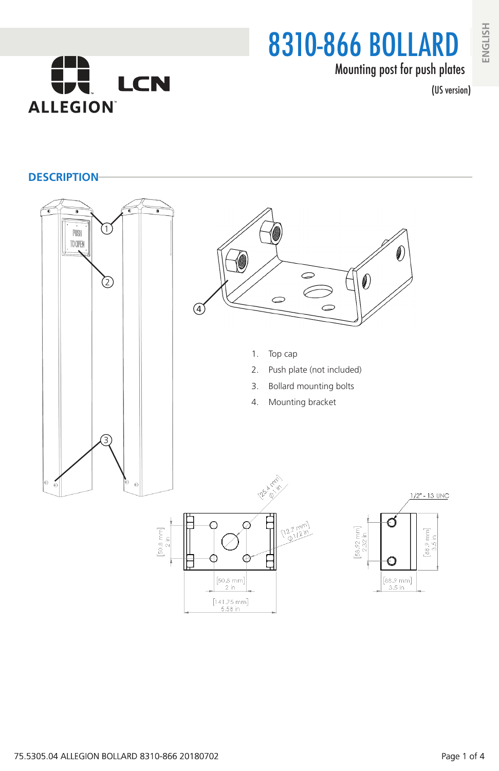# 8310-866 BOLLARD Mounting post for push plates

(US version)



**DESCRIPTION**

**ALLEGION** 

**LCN**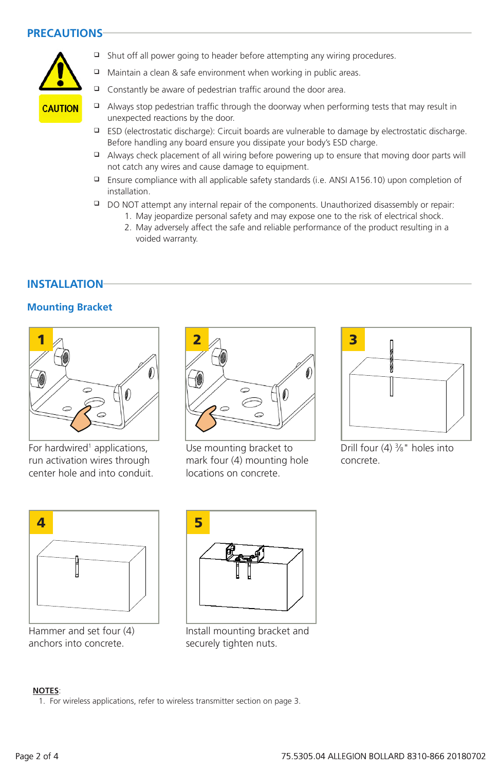## **PRECAUTIONS**



- $\Box$  Shut off all power going to header before attempting any wiring procedures.
- $\Box$  Maintain a clean & safe environment when working in public areas.
- $\Box$  Constantly be aware of pedestrian traffic around the door area.
- $\Box$  Always stop pedestrian traffic through the doorway when performing tests that may result in unexpected reactions by the door.
	- $\Box$  ESD (electrostatic discharge): Circuit boards are vulnerable to damage by electrostatic discharge. Before handling any board ensure you dissipate your body's ESD charge.
	- $\Box$  Always check placement of all wiring before powering up to ensure that moving door parts will not catch any wires and cause damage to equipment.
	- **E** Ensure compliance with all applicable safety standards (i.e. ANSI A156.10) upon completion of installation.
	- DO NOT attempt any internal repair of the components. Unauthorized disassembly or repair:
		- 1. May jeopardize personal safety and may expose one to the risk of electrical shock.
			- 2. May adversely affect the safe and reliable performance of the product resulting in a voided warranty.

## **INSTALLATION**

#### **Mounting Bracket**



For hardwired<sup>1</sup> applications, run activation wires through center hole and into conduit.



Use mounting bracket to mark four (4) mounting hole locations on concrete.



Drill four (4) 3 ⁄8" holes into concrete.



Hammer and set four (4) anchors into concrete.



Install mounting bracket and securely tighten nuts.

#### **NOTES**:

1. For wireless applications, refer to wireless transmitter section on page 3.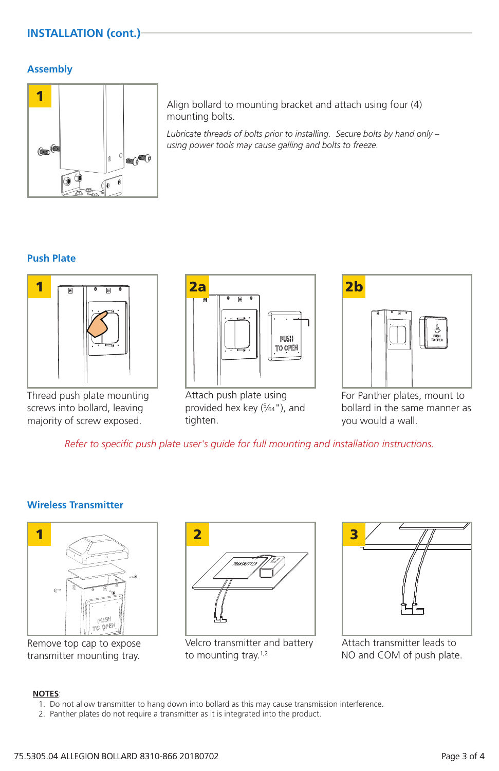# **INSTALLATION (cont.)**

#### **Assembly**



Align bollard to mounting bracket and attach using four (4) mounting bolts.

*Lubricate threads of bolts prior to installing. Secure bolts by hand only – using power tools may cause galling and bolts to freeze.*

## **Push Plate**



Thread push plate mounting screws into bollard, leaving majority of screw exposed.



Attach push plate using provided hex key (5 ⁄64"), and tighten.



For Panther plates, mount to bollard in the same manner as you would a wall.

*Refer to specific push plate user's guide for full mounting and installation instructions.*

#### **Wireless Transmitter**



Remove top cap to expose transmitter mounting tray.



Velcro transmitter and battery to mounting tray.<sup>1,2</sup>



Attach transmitter leads to NO and COM of push plate.

#### **NOTES**:

- 1. Do not allow transmitter to hang down into bollard as this may cause transmission interference.
- 2. Panther plates do not require a transmitter as it is integrated into the product.